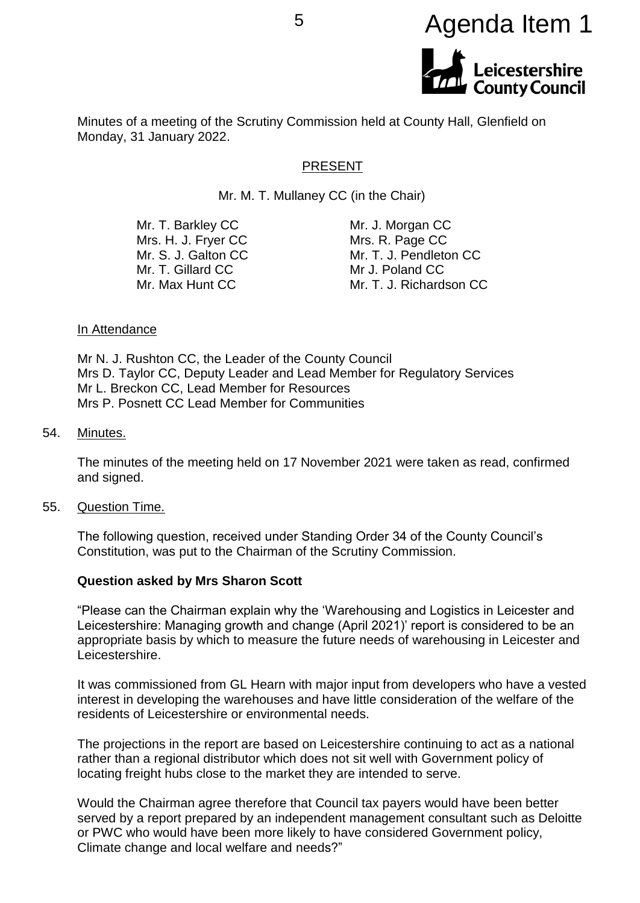

Minutes of a meeting of the Scrutiny Commission held at County Hall, Glenfield on Monday, 31 January 2022.

#### PRESENT

Mr. M. T. Mullaney CC (in the Chair)

| Mr. T. Barkley CC   | Mr. J. Morgan CC        |
|---------------------|-------------------------|
| Mrs. H. J. Fryer CC | Mrs. R. Page CC         |
| Mr. S. J. Galton CC | Mr. T. J. Pendleton CC  |
| Mr. T. Gillard CC   | Mr J. Poland CC         |
| Mr. Max Hunt CC     | Mr. T. J. Richardson CC |
|                     |                         |

#### In Attendance

Mr N. J. Rushton CC, the Leader of the County Council Mrs D. Taylor CC, Deputy Leader and Lead Member for Regulatory Services Mr L. Breckon CC, Lead Member for Resources Mrs P. Posnett CC Lead Member for Communities

#### 54. Minutes.

The minutes of the meeting held on 17 November 2021 were taken as read, confirmed and signed.

55. Question Time.

The following question, received under Standing Order 34 of the County Council's Constitution, was put to the Chairman of the Scrutiny Commission.

#### **Question asked by Mrs Sharon Scott**

"Please can the Chairman explain why the 'Warehousing and Logistics in Leicester and Leicestershire: Managing growth and change (April 2021)' report is considered to be an appropriate basis by which to measure the future needs of warehousing in Leicester and Leicestershire.

It was commissioned from GL Hearn with major input from developers who have a vested interest in developing the warehouses and have little consideration of the welfare of the residents of Leicestershire or environmental needs.

The projections in the report are based on Leicestershire continuing to act as a national rather than a regional distributor which does not sit well with Government policy of locating freight hubs close to the market they are intended to serve.

Would the Chairman agree therefore that Council tax payers would have been better served by a report prepared by an independent management consultant such as Deloitte or PWC who would have been more likely to have considered Government policy, Climate change and local welfare and needs?"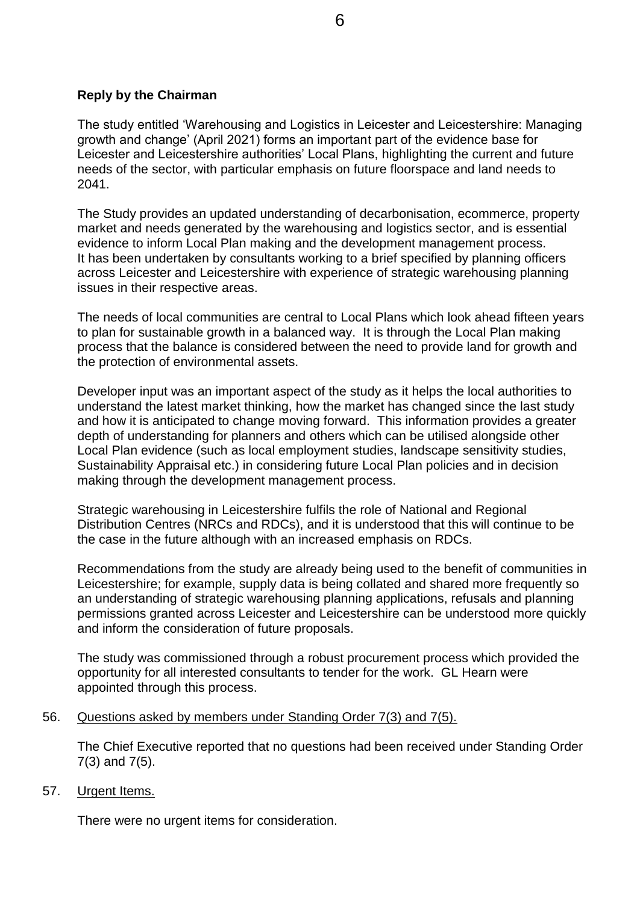#### **Reply by the Chairman**

The study entitled 'Warehousing and Logistics in Leicester and Leicestershire: Managing growth and change' (April 2021) forms an important part of the evidence base for Leicester and Leicestershire authorities' Local Plans, highlighting the current and future needs of the sector, with particular emphasis on future floorspace and land needs to 2041.

The Study provides an updated understanding of decarbonisation, ecommerce, property market and needs generated by the warehousing and logistics sector, and is essential evidence to inform Local Plan making and the development management process. It has been undertaken by consultants working to a brief specified by planning officers across Leicester and Leicestershire with experience of strategic warehousing planning issues in their respective areas.

The needs of local communities are central to Local Plans which look ahead fifteen years to plan for sustainable growth in a balanced way. It is through the Local Plan making process that the balance is considered between the need to provide land for growth and the protection of environmental assets.

Developer input was an important aspect of the study as it helps the local authorities to understand the latest market thinking, how the market has changed since the last study and how it is anticipated to change moving forward. This information provides a greater depth of understanding for planners and others which can be utilised alongside other Local Plan evidence (such as local employment studies, landscape sensitivity studies, Sustainability Appraisal etc.) in considering future Local Plan policies and in decision making through the development management process.

Strategic warehousing in Leicestershire fulfils the role of National and Regional Distribution Centres (NRCs and RDCs), and it is understood that this will continue to be the case in the future although with an increased emphasis on RDCs.

Recommendations from the study are already being used to the benefit of communities in Leicestershire; for example, supply data is being collated and shared more frequently so an understanding of strategic warehousing planning applications, refusals and planning permissions granted across Leicester and Leicestershire can be understood more quickly and inform the consideration of future proposals.

The study was commissioned through a robust procurement process which provided the opportunity for all interested consultants to tender for the work. GL Hearn were appointed through this process.

#### 56. Questions asked by members under Standing Order 7(3) and 7(5).

The Chief Executive reported that no questions had been received under Standing Order 7(3) and 7(5).

57. Urgent Items.

There were no urgent items for consideration.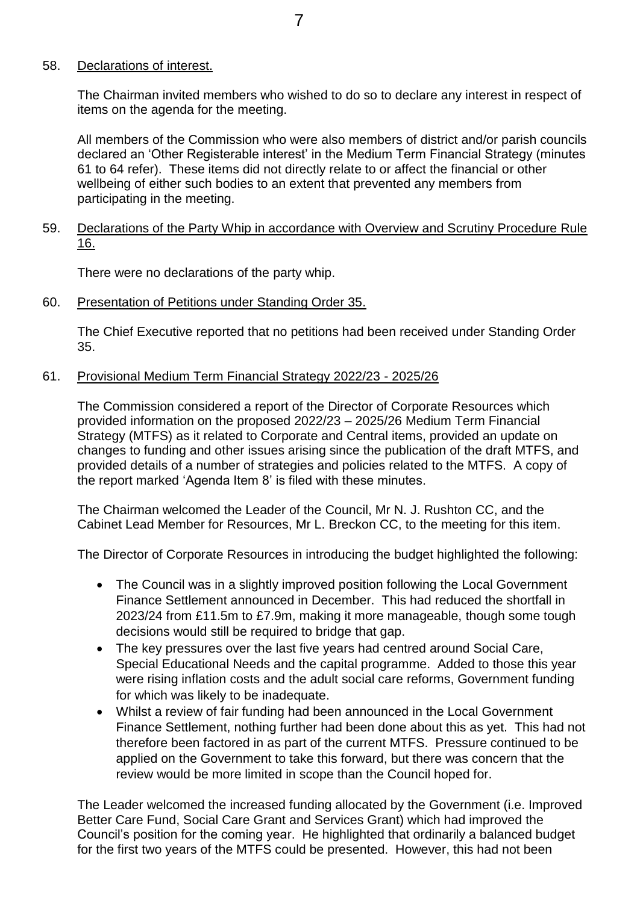# 58. Declarations of interest.

The Chairman invited members who wished to do so to declare any interest in respect of items on the agenda for the meeting.

All members of the Commission who were also members of district and/or parish councils declared an 'Other Registerable interest' in the Medium Term Financial Strategy (minutes 61 to 64 refer). These items did not directly relate to or affect the financial or other wellbeing of either such bodies to an extent that prevented any members from participating in the meeting.

# 59. Declarations of the Party Whip in accordance with Overview and Scrutiny Procedure Rule 16.

There were no declarations of the party whip.

60. Presentation of Petitions under Standing Order 35.

The Chief Executive reported that no petitions had been received under Standing Order 35.

# 61. Provisional Medium Term Financial Strategy 2022/23 - 2025/26

The Commission considered a report of the Director of Corporate Resources which provided information on the proposed 2022/23 – 2025/26 Medium Term Financial Strategy (MTFS) as it related to Corporate and Central items, provided an update on changes to funding and other issues arising since the publication of the draft MTFS, and provided details of a number of strategies and policies related to the MTFS. A copy of the report marked 'Agenda Item 8' is filed with these minutes.

The Chairman welcomed the Leader of the Council, Mr N. J. Rushton CC, and the Cabinet Lead Member for Resources, Mr L. Breckon CC, to the meeting for this item.

The Director of Corporate Resources in introducing the budget highlighted the following:

- The Council was in a slightly improved position following the Local Government Finance Settlement announced in December. This had reduced the shortfall in 2023/24 from £11.5m to £7.9m, making it more manageable, though some tough decisions would still be required to bridge that gap.
- The key pressures over the last five years had centred around Social Care, Special Educational Needs and the capital programme. Added to those this year were rising inflation costs and the adult social care reforms, Government funding for which was likely to be inadequate.
- Whilst a review of fair funding had been announced in the Local Government Finance Settlement, nothing further had been done about this as yet. This had not therefore been factored in as part of the current MTFS. Pressure continued to be applied on the Government to take this forward, but there was concern that the review would be more limited in scope than the Council hoped for.

The Leader welcomed the increased funding allocated by the Government (i.e. Improved Better Care Fund, Social Care Grant and Services Grant) which had improved the Council's position for the coming year. He highlighted that ordinarily a balanced budget for the first two years of the MTFS could be presented. However, this had not been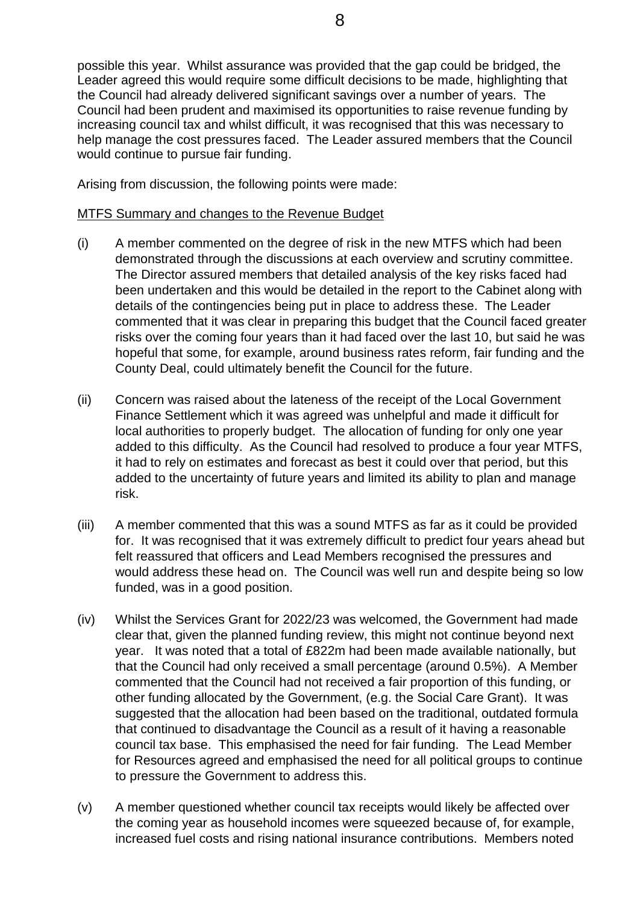possible this year. Whilst assurance was provided that the gap could be bridged, the Leader agreed this would require some difficult decisions to be made, highlighting that the Council had already delivered significant savings over a number of years. The Council had been prudent and maximised its opportunities to raise revenue funding by increasing council tax and whilst difficult, it was recognised that this was necessary to help manage the cost pressures faced. The Leader assured members that the Council would continue to pursue fair funding.

Arising from discussion, the following points were made:

# MTFS Summary and changes to the Revenue Budget

- (i) A member commented on the degree of risk in the new MTFS which had been demonstrated through the discussions at each overview and scrutiny committee. The Director assured members that detailed analysis of the key risks faced had been undertaken and this would be detailed in the report to the Cabinet along with details of the contingencies being put in place to address these. The Leader commented that it was clear in preparing this budget that the Council faced greater risks over the coming four years than it had faced over the last 10, but said he was hopeful that some, for example, around business rates reform, fair funding and the County Deal, could ultimately benefit the Council for the future.
- (ii) Concern was raised about the lateness of the receipt of the Local Government Finance Settlement which it was agreed was unhelpful and made it difficult for local authorities to properly budget. The allocation of funding for only one year added to this difficulty. As the Council had resolved to produce a four year MTFS, it had to rely on estimates and forecast as best it could over that period, but this added to the uncertainty of future years and limited its ability to plan and manage risk.
- (iii) A member commented that this was a sound MTFS as far as it could be provided for. It was recognised that it was extremely difficult to predict four years ahead but felt reassured that officers and Lead Members recognised the pressures and would address these head on. The Council was well run and despite being so low funded, was in a good position.
- (iv) Whilst the Services Grant for 2022/23 was welcomed, the Government had made clear that, given the planned funding review, this might not continue beyond next year. It was noted that a total of £822m had been made available nationally, but that the Council had only received a small percentage (around 0.5%). A Member commented that the Council had not received a fair proportion of this funding, or other funding allocated by the Government, (e.g. the Social Care Grant). It was suggested that the allocation had been based on the traditional, outdated formula that continued to disadvantage the Council as a result of it having a reasonable council tax base. This emphasised the need for fair funding. The Lead Member for Resources agreed and emphasised the need for all political groups to continue to pressure the Government to address this.
- (v) A member questioned whether council tax receipts would likely be affected over the coming year as household incomes were squeezed because of, for example, increased fuel costs and rising national insurance contributions. Members noted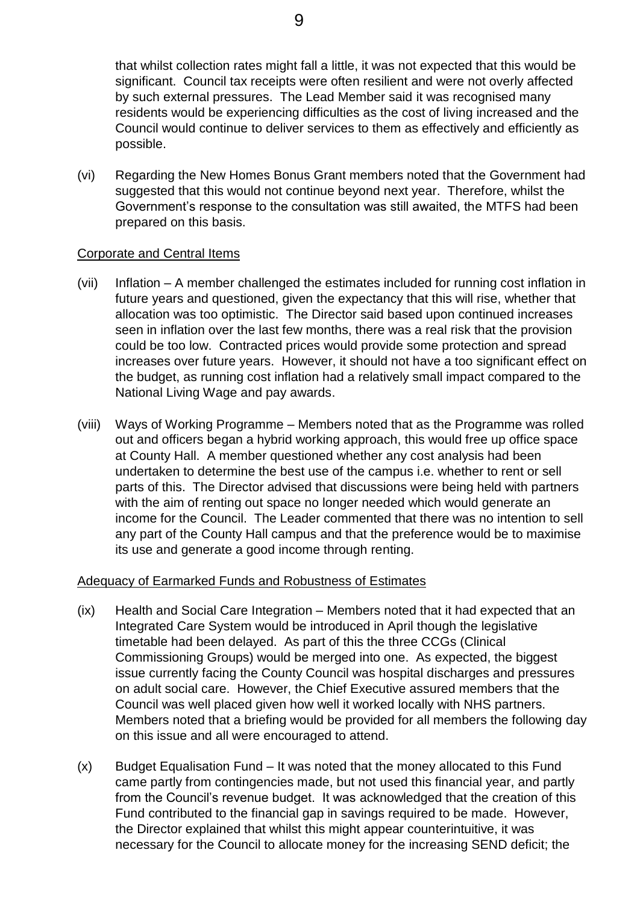that whilst collection rates might fall a little, it was not expected that this would be significant. Council tax receipts were often resilient and were not overly affected by such external pressures. The Lead Member said it was recognised many residents would be experiencing difficulties as the cost of living increased and the Council would continue to deliver services to them as effectively and efficiently as possible.

(vi) Regarding the New Homes Bonus Grant members noted that the Government had suggested that this would not continue beyond next year. Therefore, whilst the Government's response to the consultation was still awaited, the MTFS had been prepared on this basis.

# Corporate and Central Items

- (vii) Inflation A member challenged the estimates included for running cost inflation in future years and questioned, given the expectancy that this will rise, whether that allocation was too optimistic. The Director said based upon continued increases seen in inflation over the last few months, there was a real risk that the provision could be too low. Contracted prices would provide some protection and spread increases over future years. However, it should not have a too significant effect on the budget, as running cost inflation had a relatively small impact compared to the National Living Wage and pay awards.
- (viii) Ways of Working Programme Members noted that as the Programme was rolled out and officers began a hybrid working approach, this would free up office space at County Hall. A member questioned whether any cost analysis had been undertaken to determine the best use of the campus i.e. whether to rent or sell parts of this. The Director advised that discussions were being held with partners with the aim of renting out space no longer needed which would generate an income for the Council. The Leader commented that there was no intention to sell any part of the County Hall campus and that the preference would be to maximise its use and generate a good income through renting.

# Adequacy of Earmarked Funds and Robustness of Estimates

- (ix) Health and Social Care Integration Members noted that it had expected that an Integrated Care System would be introduced in April though the legislative timetable had been delayed. As part of this the three CCGs (Clinical Commissioning Groups) would be merged into one. As expected, the biggest issue currently facing the County Council was hospital discharges and pressures on adult social care. However, the Chief Executive assured members that the Council was well placed given how well it worked locally with NHS partners. Members noted that a briefing would be provided for all members the following day on this issue and all were encouraged to attend.
- (x) Budget Equalisation Fund It was noted that the money allocated to this Fund came partly from contingencies made, but not used this financial year, and partly from the Council's revenue budget. It was acknowledged that the creation of this Fund contributed to the financial gap in savings required to be made. However, the Director explained that whilst this might appear counterintuitive, it was necessary for the Council to allocate money for the increasing SEND deficit; the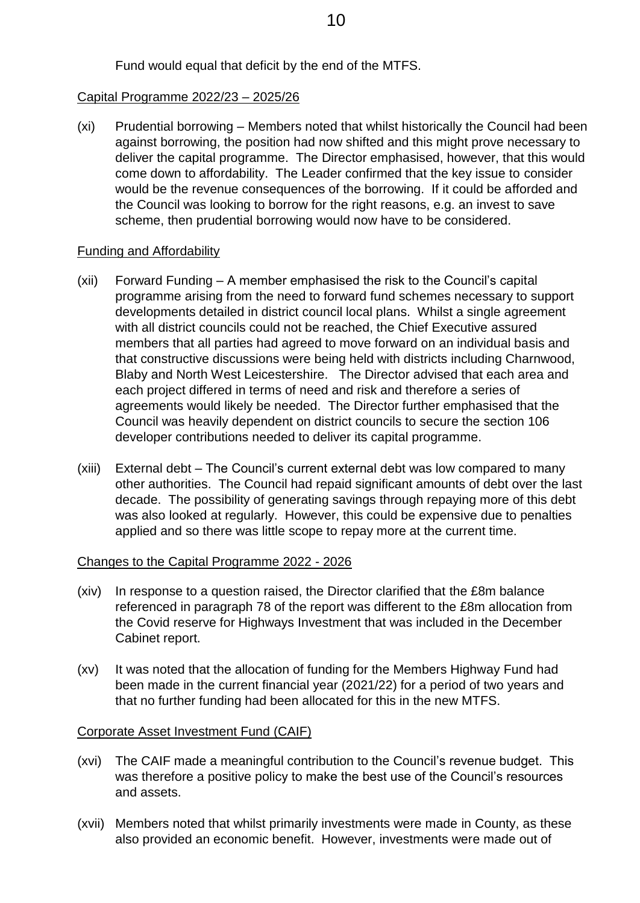Fund would equal that deficit by the end of the MTFS.

# Capital Programme 2022/23 – 2025/26

(xi) Prudential borrowing – Members noted that whilst historically the Council had been against borrowing, the position had now shifted and this might prove necessary to deliver the capital programme. The Director emphasised, however, that this would come down to affordability. The Leader confirmed that the key issue to consider would be the revenue consequences of the borrowing. If it could be afforded and the Council was looking to borrow for the right reasons, e.g. an invest to save scheme, then prudential borrowing would now have to be considered.

## Funding and Affordability

- (xii) Forward Funding A member emphasised the risk to the Council's capital programme arising from the need to forward fund schemes necessary to support developments detailed in district council local plans. Whilst a single agreement with all district councils could not be reached, the Chief Executive assured members that all parties had agreed to move forward on an individual basis and that constructive discussions were being held with districts including Charnwood, Blaby and North West Leicestershire. The Director advised that each area and each project differed in terms of need and risk and therefore a series of agreements would likely be needed. The Director further emphasised that the Council was heavily dependent on district councils to secure the section 106 developer contributions needed to deliver its capital programme.
- (xiii) External debt The Council's current external debt was low compared to many other authorities. The Council had repaid significant amounts of debt over the last decade. The possibility of generating savings through repaying more of this debt was also looked at regularly. However, this could be expensive due to penalties applied and so there was little scope to repay more at the current time.

# Changes to the Capital Programme 2022 - 2026

- (xiv) In response to a question raised, the Director clarified that the £8m balance referenced in paragraph 78 of the report was different to the £8m allocation from the Covid reserve for Highways Investment that was included in the December Cabinet report.
- (xv) It was noted that the allocation of funding for the Members Highway Fund had been made in the current financial year (2021/22) for a period of two years and that no further funding had been allocated for this in the new MTFS.

# Corporate Asset Investment Fund (CAIF)

- (xvi) The CAIF made a meaningful contribution to the Council's revenue budget. This was therefore a positive policy to make the best use of the Council's resources and assets.
- (xvii) Members noted that whilst primarily investments were made in County, as these also provided an economic benefit. However, investments were made out of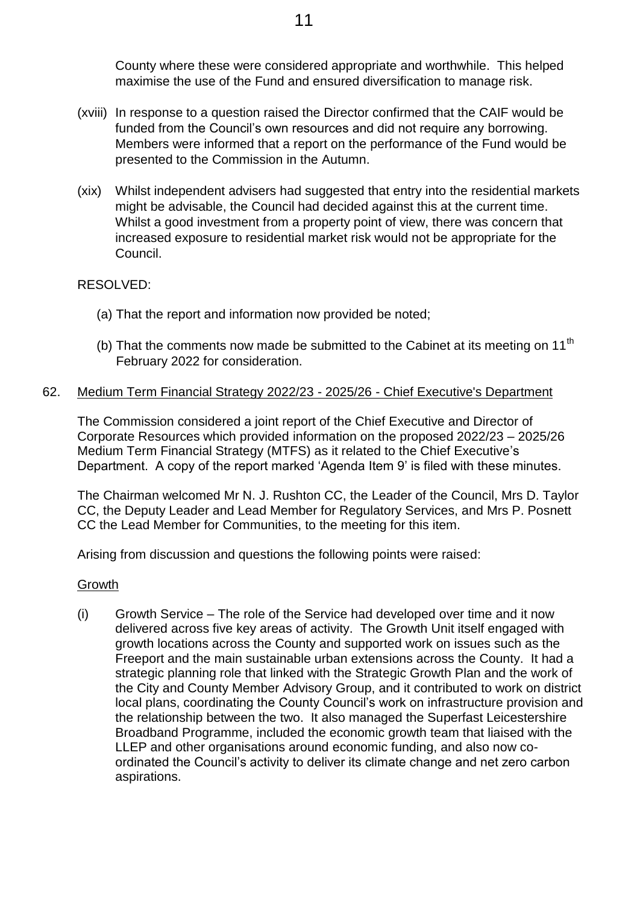County where these were considered appropriate and worthwhile. This helped maximise the use of the Fund and ensured diversification to manage risk.

- (xviii) In response to a question raised the Director confirmed that the CAIF would be funded from the Council's own resources and did not require any borrowing. Members were informed that a report on the performance of the Fund would be presented to the Commission in the Autumn.
- (xix) Whilst independent advisers had suggested that entry into the residential markets might be advisable, the Council had decided against this at the current time. Whilst a good investment from a property point of view, there was concern that increased exposure to residential market risk would not be appropriate for the Council.

## RESOLVED:

- (a) That the report and information now provided be noted;
- (b) That the comments now made be submitted to the Cabinet at its meeting on 11<sup>th</sup> February 2022 for consideration.

## 62. Medium Term Financial Strategy 2022/23 - 2025/26 - Chief Executive's Department

The Commission considered a joint report of the Chief Executive and Director of Corporate Resources which provided information on the proposed 2022/23 – 2025/26 Medium Term Financial Strategy (MTFS) as it related to the Chief Executive's Department. A copy of the report marked 'Agenda Item 9' is filed with these minutes.

The Chairman welcomed Mr N. J. Rushton CC, the Leader of the Council, Mrs D. Taylor CC, the Deputy Leader and Lead Member for Regulatory Services, and Mrs P. Posnett CC the Lead Member for Communities, to the meeting for this item.

Arising from discussion and questions the following points were raised:

## Growth

(i) Growth Service – The role of the Service had developed over time and it now delivered across five key areas of activity. The Growth Unit itself engaged with growth locations across the County and supported work on issues such as the Freeport and the main sustainable urban extensions across the County. It had a strategic planning role that linked with the Strategic Growth Plan and the work of the City and County Member Advisory Group, and it contributed to work on district local plans, coordinating the County Council's work on infrastructure provision and the relationship between the two. It also managed the Superfast Leicestershire Broadband Programme, included the economic growth team that liaised with the LLEP and other organisations around economic funding, and also now coordinated the Council's activity to deliver its climate change and net zero carbon aspirations.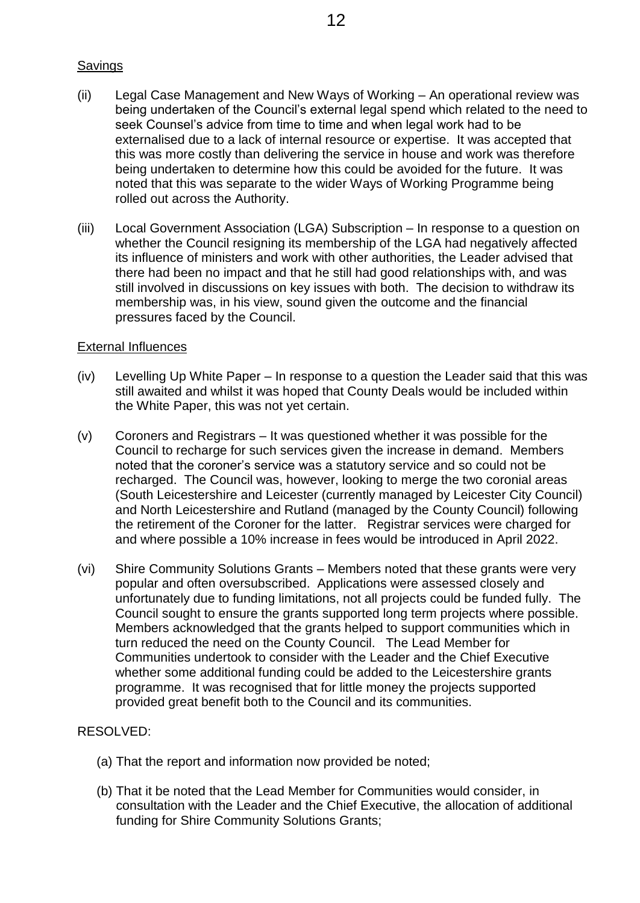## Savings

- (ii) Legal Case Management and New Ways of Working An operational review was being undertaken of the Council's external legal spend which related to the need to seek Counsel's advice from time to time and when legal work had to be externalised due to a lack of internal resource or expertise. It was accepted that this was more costly than delivering the service in house and work was therefore being undertaken to determine how this could be avoided for the future. It was noted that this was separate to the wider Ways of Working Programme being rolled out across the Authority.
- (iii) Local Government Association (LGA) Subscription In response to a question on whether the Council resigning its membership of the LGA had negatively affected its influence of ministers and work with other authorities, the Leader advised that there had been no impact and that he still had good relationships with, and was still involved in discussions on key issues with both. The decision to withdraw its membership was, in his view, sound given the outcome and the financial pressures faced by the Council.

## External Influences

- (iv) Levelling Up White Paper In response to a question the Leader said that this was still awaited and whilst it was hoped that County Deals would be included within the White Paper, this was not yet certain.
- (v) Coroners and Registrars It was questioned whether it was possible for the Council to recharge for such services given the increase in demand. Members noted that the coroner's service was a statutory service and so could not be recharged. The Council was, however, looking to merge the two coronial areas (South Leicestershire and Leicester (currently managed by Leicester City Council) and North Leicestershire and Rutland (managed by the County Council) following the retirement of the Coroner for the latter. Registrar services were charged for and where possible a 10% increase in fees would be introduced in April 2022.
- (vi) Shire Community Solutions Grants Members noted that these grants were very popular and often oversubscribed. Applications were assessed closely and unfortunately due to funding limitations, not all projects could be funded fully. The Council sought to ensure the grants supported long term projects where possible. Members acknowledged that the grants helped to support communities which in turn reduced the need on the County Council. The Lead Member for Communities undertook to consider with the Leader and the Chief Executive whether some additional funding could be added to the Leicestershire grants programme. It was recognised that for little money the projects supported provided great benefit both to the Council and its communities.

## RESOLVED:

- (a) That the report and information now provided be noted;
- (b) That it be noted that the Lead Member for Communities would consider, in consultation with the Leader and the Chief Executive, the allocation of additional funding for Shire Community Solutions Grants;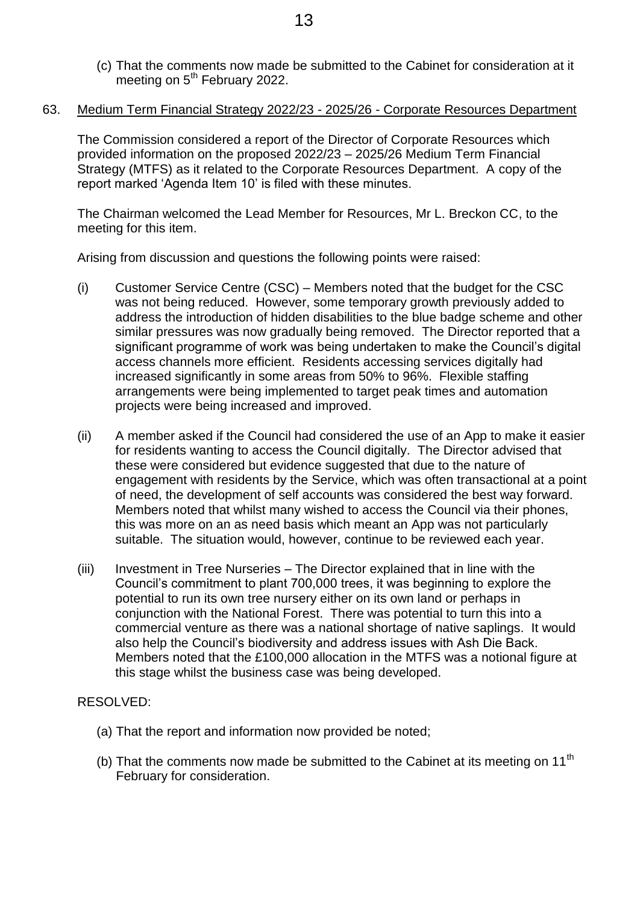- (c) That the comments now made be submitted to the Cabinet for consideration at it meeting on  $5<sup>th</sup>$  February 2022.
- 63. Medium Term Financial Strategy 2022/23 2025/26 Corporate Resources Department

The Commission considered a report of the Director of Corporate Resources which provided information on the proposed 2022/23 – 2025/26 Medium Term Financial Strategy (MTFS) as it related to the Corporate Resources Department. A copy of the report marked 'Agenda Item 10' is filed with these minutes.

The Chairman welcomed the Lead Member for Resources, Mr L. Breckon CC, to the meeting for this item.

Arising from discussion and questions the following points were raised:

- (i) Customer Service Centre (CSC) Members noted that the budget for the CSC was not being reduced. However, some temporary growth previously added to address the introduction of hidden disabilities to the blue badge scheme and other similar pressures was now gradually being removed. The Director reported that a significant programme of work was being undertaken to make the Council's digital access channels more efficient. Residents accessing services digitally had increased significantly in some areas from 50% to 96%. Flexible staffing arrangements were being implemented to target peak times and automation projects were being increased and improved.
- (ii) A member asked if the Council had considered the use of an App to make it easier for residents wanting to access the Council digitally. The Director advised that these were considered but evidence suggested that due to the nature of engagement with residents by the Service, which was often transactional at a point of need, the development of self accounts was considered the best way forward. Members noted that whilst many wished to access the Council via their phones, this was more on an as need basis which meant an App was not particularly suitable. The situation would, however, continue to be reviewed each year.
- (iii) Investment in Tree Nurseries The Director explained that in line with the Council's commitment to plant 700,000 trees, it was beginning to explore the potential to run its own tree nursery either on its own land or perhaps in conjunction with the National Forest. There was potential to turn this into a commercial venture as there was a national shortage of native saplings. It would also help the Council's biodiversity and address issues with Ash Die Back. Members noted that the £100,000 allocation in the MTFS was a notional figure at this stage whilst the business case was being developed.

## RESOLVED:

- (a) That the report and information now provided be noted;
- (b) That the comments now made be submitted to the Cabinet at its meeting on 11<sup>th</sup> February for consideration.